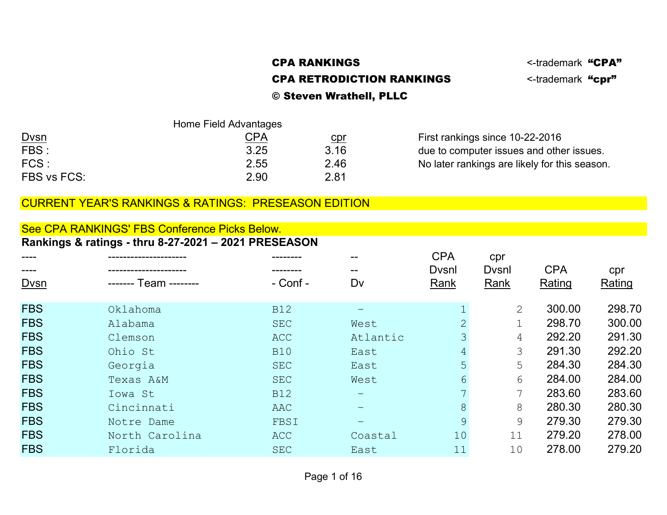# CPA RANKINGS STATES AND STATES CONTROLL CONTROL CONTROL STATES AND STATES AND STATES AND STATES AND STATES AND THE STATES OF A STATE OF A STATE OF A STATE OF A STATE OF A STATE OF A STATE OF A STATE OF A STATE OF A STATE O CPA RETRODICTION RANKINGS <-trademark "cpr"

# © Steven Wrathell, PLLC

|              | Home Field Advantages |            |                                               |
|--------------|-----------------------|------------|-----------------------------------------------|
| <b>D</b> vsn | <u>CPA</u>            | <u>cpr</u> | First rankings since 10-22-2016               |
| FBS:         | 3.25                  | 3.16       | due to computer issues and other issues.      |
| FCS:         | 2.55                  | 2.46       | No later rankings are likely for this season. |
| FBS vs FCS:  | 2.90                  | 2.81       |                                               |

### CURRENT YEAR'S RANKINGS & RATINGS: PRESEASON EDITION

#### See CPA RANKINGS' FBS Conference Picks Below. Rankings & ratings - thru 8-27-2021 – 2021 PRESEASON

| ----          |                | --------   |          | <b>CPA</b>     | cpr           |            |        |
|---------------|----------------|------------|----------|----------------|---------------|------------|--------|
| $\frac{1}{2}$ |                |            | --       | <b>D</b> vsnl  | <b>D</b> vsnl | <b>CPA</b> | cpr    |
| Dvsn          |                | - Conf -   | Dv       | Rank           | Rank          | Rating     | Rating |
|               |                |            |          |                |               |            |        |
| <b>FBS</b>    | Oklahoma       | <b>B12</b> |          |                | 2             | 300.00     | 298.70 |
| <b>FBS</b>    | Alabama        | <b>SEC</b> | West     | $\overline{2}$ |               | 298.70     | 300.00 |
| <b>FBS</b>    | Clemson        | <b>ACC</b> | Atlantic | 3              | 4             | 292.20     | 291.30 |
| <b>FBS</b>    | Ohio St        | <b>B10</b> | East     | 4              | 3             | 291.30     | 292.20 |
| <b>FBS</b>    | Georgia        | <b>SEC</b> | East     | 5              | 5             | 284.30     | 284.30 |
| <b>FBS</b>    | Texas A&M      | <b>SEC</b> | West     | 6              | 6             | 284.00     | 284.00 |
| <b>FBS</b>    | Iowa St        | <b>B12</b> |          |                | 7             | 283.60     | 283.60 |
| <b>FBS</b>    | Cincinnati     | AAC        |          | 8              | 8             | 280.30     | 280.30 |
| <b>FBS</b>    | Notre Dame     | FBSI       |          | 9              | 9             | 279.30     | 279.30 |
| <b>FBS</b>    | North Carolina | <b>ACC</b> | Coastal  | 10             | 11            | 279.20     | 278.00 |
| <b>FBS</b>    | Florida        | <b>SEC</b> | East     | 11             | 10            | 278.00     | 279.20 |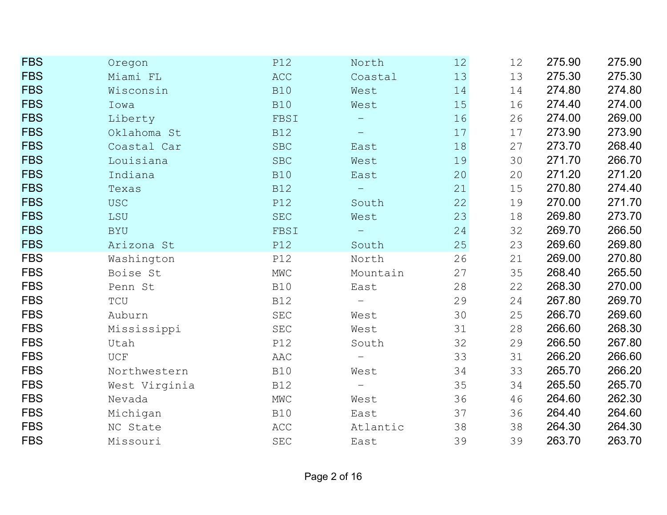| <b>FBS</b> | Oregon        | <b>P12</b>                    | North                    | 12 | 12 | 275.90 | 275.90 |
|------------|---------------|-------------------------------|--------------------------|----|----|--------|--------|
| <b>FBS</b> | Miami FL      | <b>ACC</b>                    | Coastal                  | 13 | 13 | 275.30 | 275.30 |
| <b>FBS</b> | Wisconsin     | <b>B10</b>                    | West                     | 14 | 14 | 274.80 | 274.80 |
| <b>FBS</b> | Iowa          | <b>B10</b>                    | West                     | 15 | 16 | 274.40 | 274.00 |
| <b>FBS</b> | Liberty       | FBSI                          |                          | 16 | 26 | 274.00 | 269.00 |
| <b>FBS</b> | Oklahoma St   | <b>B12</b>                    |                          | 17 | 17 | 273.90 | 273.90 |
| <b>FBS</b> | Coastal Car   | <b>SBC</b>                    | East                     | 18 | 27 | 273.70 | 268.40 |
| <b>FBS</b> | Louisiana     | ${\tt SBC}$                   | West                     | 19 | 30 | 271.70 | 266.70 |
| <b>FBS</b> | Indiana       | <b>B10</b>                    | East                     | 20 | 20 | 271.20 | 271.20 |
| <b>FBS</b> | Texas         | <b>B12</b>                    | $\overline{\phantom{m}}$ | 21 | 15 | 270.80 | 274.40 |
| <b>FBS</b> | <b>USC</b>    | <b>P12</b>                    | South                    | 22 | 19 | 270.00 | 271.70 |
| <b>FBS</b> | LSU           | $\operatorname{\mathsf{SEC}}$ | West                     | 23 | 18 | 269.80 | 273.70 |
| <b>FBS</b> | <b>BYU</b>    | FBSI                          | $\overline{\phantom{m}}$ | 24 | 32 | 269.70 | 266.50 |
| <b>FBS</b> | Arizona St    | <b>P12</b>                    | South                    | 25 | 23 | 269.60 | 269.80 |
| <b>FBS</b> | Washington    | P12                           | North                    | 26 | 21 | 269.00 | 270.80 |
| <b>FBS</b> | Boise St      | $\ensuremath{\text{MWC}}$     | Mountain                 | 27 | 35 | 268.40 | 265.50 |
| <b>FBS</b> | Penn St       | <b>B10</b>                    | East                     | 28 | 22 | 268.30 | 270.00 |
| <b>FBS</b> | TCU           | <b>B12</b>                    | $\equiv$                 | 29 | 24 | 267.80 | 269.70 |
| <b>FBS</b> | Auburn        | $\operatorname{\mathsf{SEC}}$ | West                     | 30 | 25 | 266.70 | 269.60 |
| <b>FBS</b> | Mississippi   | $\operatorname{SEC}$          | West                     | 31 | 28 | 266.60 | 268.30 |
| <b>FBS</b> | Utah          | <b>P12</b>                    | South                    | 32 | 29 | 266.50 | 267.80 |
| <b>FBS</b> | <b>UCF</b>    | AAC                           | $\overline{\phantom{m}}$ | 33 | 31 | 266.20 | 266.60 |
| <b>FBS</b> | Northwestern  | <b>B10</b>                    | West                     | 34 | 33 | 265.70 | 266.20 |
| <b>FBS</b> | West Virginia | <b>B12</b>                    | $\equiv$                 | 35 | 34 | 265.50 | 265.70 |
| <b>FBS</b> | Nevada        | $\ensuremath{\text{MWC}}$     | West                     | 36 | 46 | 264.60 | 262.30 |
| <b>FBS</b> | Michigan      | <b>B10</b>                    | East                     | 37 | 36 | 264.40 | 264.60 |
| <b>FBS</b> | NC State      | ACC                           | Atlantic                 | 38 | 38 | 264.30 | 264.30 |
| <b>FBS</b> | Missouri      | $\operatorname{\mathsf{SEC}}$ | East                     | 39 | 39 | 263.70 | 263.70 |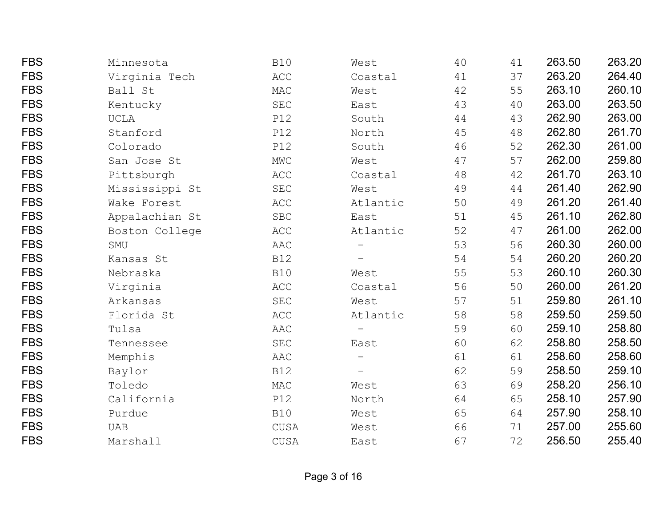| <b>FBS</b> | Minnesota      | <b>B10</b>                    | West                     | 40 | 41 | 263.50 | 263.20 |
|------------|----------------|-------------------------------|--------------------------|----|----|--------|--------|
| <b>FBS</b> | Virginia Tech  | ACC                           | Coastal                  | 41 | 37 | 263.20 | 264.40 |
| <b>FBS</b> | Ball St        | MAC                           | West                     | 42 | 55 | 263.10 | 260.10 |
| <b>FBS</b> | Kentucky       | SEC                           | East                     | 43 | 40 | 263.00 | 263.50 |
| <b>FBS</b> | <b>UCLA</b>    | <b>P12</b>                    | South                    | 44 | 43 | 262.90 | 263.00 |
| <b>FBS</b> | Stanford       | <b>P12</b>                    | North                    | 45 | 48 | 262.80 | 261.70 |
| <b>FBS</b> | Colorado       | <b>P12</b>                    | South                    | 46 | 52 | 262.30 | 261.00 |
| <b>FBS</b> | San Jose St    | $\ensuremath{\text{MWC}}$     | West                     | 47 | 57 | 262.00 | 259.80 |
| <b>FBS</b> | Pittsburgh     | $\mathop{{\rm ACC}}$          | Coastal                  | 48 | 42 | 261.70 | 263.10 |
| <b>FBS</b> | Mississippi St | $\operatorname{SEC}$          | West                     | 49 | 44 | 261.40 | 262.90 |
| <b>FBS</b> | Wake Forest    | $\mathop{{\rm ACC}}$          | Atlantic                 | 50 | 49 | 261.20 | 261.40 |
| <b>FBS</b> | Appalachian St | ${\tt SBC}$                   | East                     | 51 | 45 | 261.10 | 262.80 |
| <b>FBS</b> | Boston College | ACC                           | Atlantic                 | 52 | 47 | 261.00 | 262.00 |
| <b>FBS</b> | SMU            | AAC                           | $\qquad \qquad -$        | 53 | 56 | 260.30 | 260.00 |
| <b>FBS</b> | Kansas St      | <b>B12</b>                    |                          | 54 | 54 | 260.20 | 260.20 |
| <b>FBS</b> | Nebraska       | <b>B10</b>                    | West                     | 55 | 53 | 260.10 | 260.30 |
| <b>FBS</b> | Virginia       | $\mathop{{\rm ACC}}$          | Coastal                  | 56 | 50 | 260.00 | 261.20 |
| <b>FBS</b> | Arkansas       | $\operatorname{\mathsf{SEC}}$ | West                     | 57 | 51 | 259.80 | 261.10 |
| <b>FBS</b> | Florida St     | ACC                           | Atlantic                 | 58 | 58 | 259.50 | 259.50 |
| <b>FBS</b> | Tulsa          | AAC                           | $\overline{\phantom{0}}$ | 59 | 60 | 259.10 | 258.80 |
| <b>FBS</b> | Tennessee      | $\operatorname{\mathsf{SEC}}$ | East                     | 60 | 62 | 258.80 | 258.50 |
| <b>FBS</b> | Memphis        | AAC                           | $\overline{\phantom{0}}$ | 61 | 61 | 258.60 | 258.60 |
| <b>FBS</b> | Baylor         | <b>B12</b>                    |                          | 62 | 59 | 258.50 | 259.10 |
| <b>FBS</b> | Toledo         | MAC                           | West                     | 63 | 69 | 258.20 | 256.10 |
| <b>FBS</b> | California     | <b>P12</b>                    | North                    | 64 | 65 | 258.10 | 257.90 |
| <b>FBS</b> | Purdue         | <b>B10</b>                    | West                     | 65 | 64 | 257.90 | 258.10 |
| <b>FBS</b> | <b>UAB</b>     | CUSA                          | West                     | 66 | 71 | 257.00 | 255.60 |
| <b>FBS</b> | Marshall       | CUSA                          | East                     | 67 | 72 | 256.50 | 255.40 |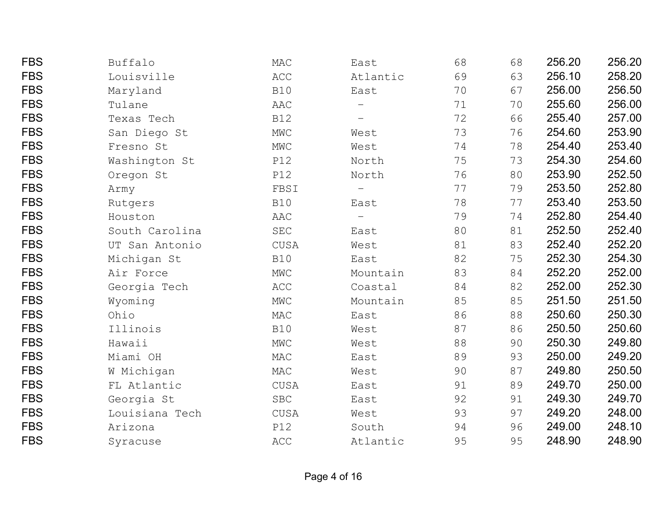| <b>FBS</b> | Buffalo        | MAC                       | East                     | 68 | 68 | 256.20 | 256.20 |
|------------|----------------|---------------------------|--------------------------|----|----|--------|--------|
| <b>FBS</b> | Louisville     | ACC                       | Atlantic                 | 69 | 63 | 256.10 | 258.20 |
| <b>FBS</b> | Maryland       | <b>B10</b>                | East                     | 70 | 67 | 256.00 | 256.50 |
| <b>FBS</b> | Tulane         | AAC                       | $\qquad \qquad -$        | 71 | 70 | 255.60 | 256.00 |
| <b>FBS</b> | Texas Tech     | <b>B12</b>                |                          | 72 | 66 | 255.40 | 257.00 |
| <b>FBS</b> | San Diego St   | $\ensuremath{\text{MWC}}$ | West                     | 73 | 76 | 254.60 | 253.90 |
| <b>FBS</b> | Fresno St      | $\ensuremath{\text{MWC}}$ | West                     | 74 | 78 | 254.40 | 253.40 |
| <b>FBS</b> | Washington St  | <b>P12</b>                | North                    | 75 | 73 | 254.30 | 254.60 |
| <b>FBS</b> | Oregon St      | <b>P12</b>                | North                    | 76 | 80 | 253.90 | 252.50 |
| <b>FBS</b> | Army           | FBSI                      | $\overline{\phantom{m}}$ | 77 | 79 | 253.50 | 252.80 |
| <b>FBS</b> | Rutgers        | <b>B10</b>                | East                     | 78 | 77 | 253.40 | 253.50 |
| <b>FBS</b> | Houston        | AAC                       | $\qquad \qquad -$        | 79 | 74 | 252.80 | 254.40 |
| <b>FBS</b> | South Carolina | $\operatorname{SEC}$      | East                     | 80 | 81 | 252.50 | 252.40 |
| <b>FBS</b> | UT San Antonio | CUSA                      | West                     | 81 | 83 | 252.40 | 252.20 |
| <b>FBS</b> | Michigan St    | <b>B10</b>                | East                     | 82 | 75 | 252.30 | 254.30 |
| <b>FBS</b> | Air Force      | $\ensuremath{\text{MWC}}$ | Mountain                 | 83 | 84 | 252.20 | 252.00 |
| <b>FBS</b> | Georgia Tech   | ACC                       | Coastal                  | 84 | 82 | 252.00 | 252.30 |
| <b>FBS</b> | Wyoming        | $\ensuremath{\text{MWC}}$ | Mountain                 | 85 | 85 | 251.50 | 251.50 |
| <b>FBS</b> | Ohio           | MAC                       | East                     | 86 | 88 | 250.60 | 250.30 |
| <b>FBS</b> | Illinois       | <b>B10</b>                | West                     | 87 | 86 | 250.50 | 250.60 |
| <b>FBS</b> | Hawaii         | $\ensuremath{\text{MWC}}$ | West                     | 88 | 90 | 250.30 | 249.80 |
| <b>FBS</b> | Miami OH       | MAC                       | East                     | 89 | 93 | 250.00 | 249.20 |
| <b>FBS</b> | W Michigan     | MAC                       | West                     | 90 | 87 | 249.80 | 250.50 |
| <b>FBS</b> | FL Atlantic    | CUSA                      | East                     | 91 | 89 | 249.70 | 250.00 |
| <b>FBS</b> | Georgia St     | <b>SBC</b>                | East                     | 92 | 91 | 249.30 | 249.70 |
| <b>FBS</b> | Louisiana Tech | CUSA                      | West                     | 93 | 97 | 249.20 | 248.00 |
| <b>FBS</b> | Arizona        | <b>P12</b>                | South                    | 94 | 96 | 249.00 | 248.10 |
| <b>FBS</b> | Syracuse       | ACC                       | Atlantic                 | 95 | 95 | 248.90 | 248.90 |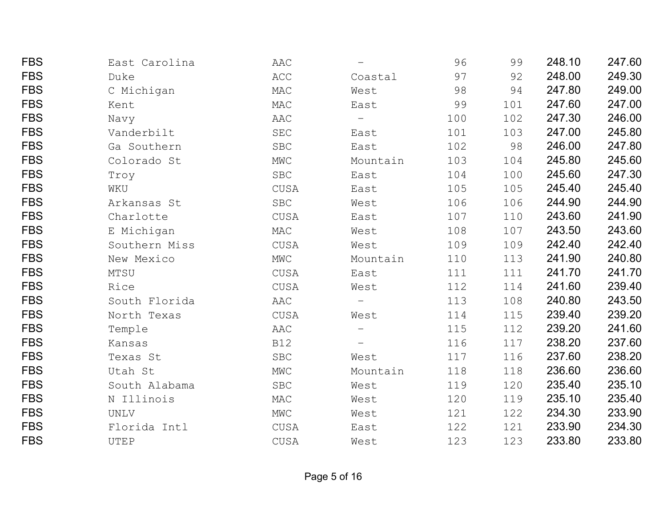| <b>FBS</b> | East Carolina | AAC                       |                          | 96  | 99  | 248.10 | 247.60 |
|------------|---------------|---------------------------|--------------------------|-----|-----|--------|--------|
| <b>FBS</b> | Duke          | ACC                       | Coastal                  | 97  | 92  | 248.00 | 249.30 |
| <b>FBS</b> | C Michigan    | $\mathtt{MAC}$            | West                     | 98  | 94  | 247.80 | 249.00 |
| <b>FBS</b> | Kent          | MAC                       | East                     | 99  | 101 | 247.60 | 247.00 |
| <b>FBS</b> | Navy          | AAC                       | $\qquad \qquad -$        | 100 | 102 | 247.30 | 246.00 |
| <b>FBS</b> | Vanderbilt    | $\operatorname{SEC}$      | East                     | 101 | 103 | 247.00 | 245.80 |
| <b>FBS</b> | Ga Southern   | ${\tt SBC}$               | East                     | 102 | 98  | 246.00 | 247.80 |
| <b>FBS</b> | Colorado St   | $\ensuremath{\text{MWC}}$ | Mountain                 | 103 | 104 | 245.80 | 245.60 |
| <b>FBS</b> | Troy          | ${\tt SBC}$               | East                     | 104 | 100 | 245.60 | 247.30 |
| <b>FBS</b> | WKU           | CUSA                      | East                     | 105 | 105 | 245.40 | 245.40 |
| <b>FBS</b> | Arkansas St   | <b>SBC</b>                | West                     | 106 | 106 | 244.90 | 244.90 |
| <b>FBS</b> | Charlotte     | CUSA                      | East                     | 107 | 110 | 243.60 | 241.90 |
| <b>FBS</b> | E Michigan    | MAC                       | West                     | 108 | 107 | 243.50 | 243.60 |
| <b>FBS</b> | Southern Miss | CUSA                      | West                     | 109 | 109 | 242.40 | 242.40 |
| <b>FBS</b> | New Mexico    | MWC                       | Mountain                 | 110 | 113 | 241.90 | 240.80 |
| <b>FBS</b> | MTSU          | ${\tt CUSA}$              | East                     | 111 | 111 | 241.70 | 241.70 |
| <b>FBS</b> | Rice          | CUSA                      | West                     | 112 | 114 | 241.60 | 239.40 |
| <b>FBS</b> | South Florida | AAC                       | $\overline{\phantom{0}}$ | 113 | 108 | 240.80 | 243.50 |
| <b>FBS</b> | North Texas   | CUSA                      | West                     | 114 | 115 | 239.40 | 239.20 |
| <b>FBS</b> | Temple        | AAC                       |                          | 115 | 112 | 239.20 | 241.60 |
| <b>FBS</b> | Kansas        | <b>B12</b>                | $\overline{\phantom{m}}$ | 116 | 117 | 238.20 | 237.60 |
| <b>FBS</b> | Texas St      | ${\tt SBC}$               | West                     | 117 | 116 | 237.60 | 238.20 |
| <b>FBS</b> | Utah St       | $\rm MWC$                 | Mountain                 | 118 | 118 | 236.60 | 236.60 |
| <b>FBS</b> | South Alabama | ${\tt SBC}$               | West                     | 119 | 120 | 235.40 | 235.10 |
| <b>FBS</b> | N Illinois    | MAC                       | West                     | 120 | 119 | 235.10 | 235.40 |
| <b>FBS</b> | <b>UNLV</b>   | MWC                       | West                     | 121 | 122 | 234.30 | 233.90 |
| <b>FBS</b> | Florida Intl  | CUSA                      | East                     | 122 | 121 | 233.90 | 234.30 |
| <b>FBS</b> | UTEP          | CUSA                      | West                     | 123 | 123 | 233.80 | 233.80 |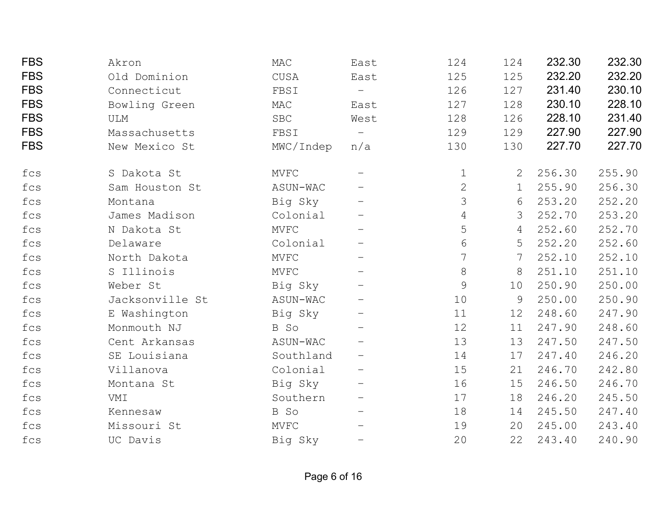| <b>FBS</b> | Akron           | MAC         | East                     | 124            | 124 | 232.30 | 232.30 |
|------------|-----------------|-------------|--------------------------|----------------|-----|--------|--------|
| <b>FBS</b> | Old Dominion    | <b>CUSA</b> | East                     | 125            | 125 | 232.20 | 232.20 |
| <b>FBS</b> | Connecticut     | FBSI        | $\overline{\phantom{m}}$ | 126            | 127 | 231.40 | 230.10 |
| <b>FBS</b> | Bowling Green   | MAC         | East                     | 127            | 128 | 230.10 | 228.10 |
| <b>FBS</b> | <b>ULM</b>      | <b>SBC</b>  | West                     | 128            | 126 | 228.10 | 231.40 |
| <b>FBS</b> | Massachusetts   | FBSI        | $\overline{\phantom{m}}$ | 129            | 129 | 227.90 | 227.90 |
| <b>FBS</b> | New Mexico St   | MWC/Indep   | n/a                      | 130            | 130 | 227.70 | 227.70 |
| fcs        | S Dakota St     | MVFC        |                          | $\mathbf 1$    | 2   | 256.30 | 255.90 |
| fcs        | Sam Houston St  | ASUN-WAC    |                          | $\overline{2}$ | 1   | 255.90 | 256.30 |
| fcs        | Montana         | Big Sky     |                          | 3              | 6   | 253.20 | 252.20 |
| fcs        | James Madison   | Colonial    |                          | $\overline{4}$ | 3   | 252.70 | 253.20 |
| fcs        | N Dakota St     | MVFC        | $\qquad \qquad -$        | 5              | 4   | 252.60 | 252.70 |
| fcs        | Delaware        | Colonial    |                          | 6              | 5   | 252.20 | 252.60 |
| fcs        | North Dakota    | MVFC        | $\qquad \qquad -$        | 7              | 7   | 252.10 | 252.10 |
| fcs        | S Illinois      | <b>MVFC</b> | $\qquad \qquad -$        | 8              | 8   | 251.10 | 251.10 |
| fcs        | Weber St        | Big Sky     |                          | 9              | 10  | 250.90 | 250.00 |
| fcs        | Jacksonville St | ASUN-WAC    |                          | 10             | 9   | 250.00 | 250.90 |
| fcs        | E Washington    | Big Sky     | $\qquad \qquad -$        | 11             | 12  | 248.60 | 247.90 |
| fcs        | Monmouth NJ     | B So        | $\overline{\phantom{m}}$ | 12             | 11  | 247.90 | 248.60 |
| fcs        | Cent Arkansas   | ASUN-WAC    |                          | 13             | 13  | 247.50 | 247.50 |
| fcs        | SE Louisiana    | Southland   | $\qquad \qquad -$        | 14             | 17  | 247.40 | 246.20 |
| fcs        | Villanova       | Colonial    |                          | 15             | 21  | 246.70 | 242.80 |
| fcs        | Montana St      | Big Sky     |                          | 16             | 15  | 246.50 | 246.70 |
| fcs        | VMI             | Southern    | $\qquad \qquad -$        | 17             | 18  | 246.20 | 245.50 |
| fcs        | Kennesaw        | B So        | $\qquad \qquad -$        | 18             | 14  | 245.50 | 247.40 |
| fcs        | Missouri St     | <b>MVFC</b> | $\qquad \qquad -$        | 19             | 20  | 245.00 | 243.40 |
| fcs        | UC Davis        | Big Sky     | $\qquad \qquad -$        | 20             | 22  | 243.40 | 240.90 |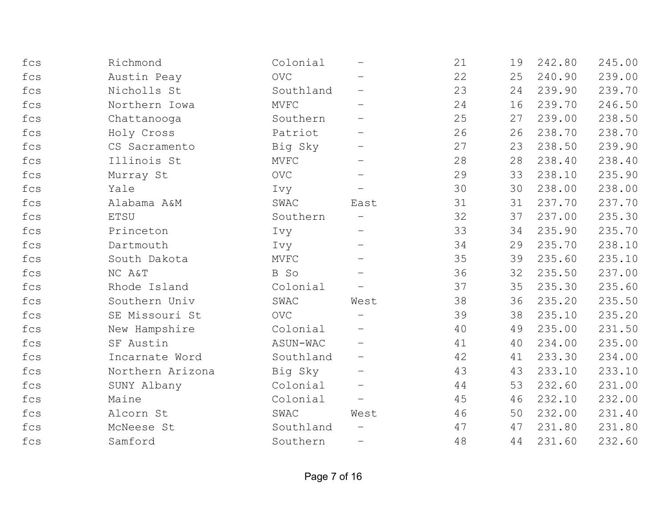| fcs                            | Richmond         | Colonial    |                          | 21 | 19 | 242.80 | 245.00 |
|--------------------------------|------------------|-------------|--------------------------|----|----|--------|--------|
| fcs                            | Austin Peay      | <b>OVC</b>  |                          | 22 | 25 | 240.90 | 239.00 |
| fcs                            | Nicholls St      | Southland   |                          | 23 | 24 | 239.90 | 239.70 |
| fcs                            | Northern Iowa    | <b>MVFC</b> |                          | 24 | 16 | 239.70 | 246.50 |
| fcs                            | Chattanooga      | Southern    |                          | 25 | 27 | 239.00 | 238.50 |
| $_{\mbox{\small\texttt{fcs}}}$ | Holy Cross       | Patriot     |                          | 26 | 26 | 238.70 | 238.70 |
| fcs                            | CS Sacramento    | Big Sky     | $\qquad \qquad -$        | 27 | 23 | 238.50 | 239.90 |
| fcs                            | Illinois St      | <b>MVFC</b> |                          | 28 | 28 | 238.40 | 238.40 |
| fcs                            | Murray St        | <b>OVC</b>  | $\qquad \qquad -$        | 29 | 33 | 238.10 | 235.90 |
| fcs                            | Yale             | Ivy         | $\qquad \qquad -$        | 30 | 30 | 238.00 | 238.00 |
| fcs                            | Alabama A&M      | SWAC        | East                     | 31 | 31 | 237.70 | 237.70 |
| fcs                            | <b>ETSU</b>      | Southern    |                          | 32 | 37 | 237.00 | 235.30 |
| fcs                            | Princeton        | Ivy         | $\qquad \qquad -$        | 33 | 34 | 235.90 | 235.70 |
| fcs                            | Dartmouth        | Ivy         |                          | 34 | 29 | 235.70 | 238.10 |
| fcs                            | South Dakota     | MVFC        | $\qquad \qquad -$        | 35 | 39 | 235.60 | 235.10 |
| fcs                            | NC A&T           | B So        |                          | 36 | 32 | 235.50 | 237.00 |
| fcs                            | Rhode Island     | Colonial    |                          | 37 | 35 | 235.30 | 235.60 |
| fcs                            | Southern Univ    | SWAC        | West                     | 38 | 36 | 235.20 | 235.50 |
| fcs                            | SE Missouri St   | <b>OVC</b>  | $\qquad \qquad -$        | 39 | 38 | 235.10 | 235.20 |
| fcs                            | New Hampshire    | Colonial    |                          | 40 | 49 | 235.00 | 231.50 |
| fcs                            | SF Austin        | ASUN-WAC    |                          | 41 | 40 | 234.00 | 235.00 |
| fcs                            | Incarnate Word   | Southland   | $\qquad \qquad -$        | 42 | 41 | 233.30 | 234.00 |
| fcs                            | Northern Arizona | Big Sky     | $\qquad \qquad -$        | 43 | 43 | 233.10 | 233.10 |
| fcs                            | SUNY Albany      | Colonial    | $\qquad \qquad -$        | 44 | 53 | 232.60 | 231.00 |
| fcs                            | Maine            | Colonial    | $\qquad \qquad -$        | 45 | 46 | 232.10 | 232.00 |
| fcs                            | Alcorn St        | SWAC        | West                     | 46 | 50 | 232.00 | 231.40 |
| fcs                            | McNeese St       | Southland   |                          | 47 | 47 | 231.80 | 231.80 |
| fcs                            | Samford          | Southern    | $\overline{\phantom{0}}$ | 48 | 44 | 231.60 | 232.60 |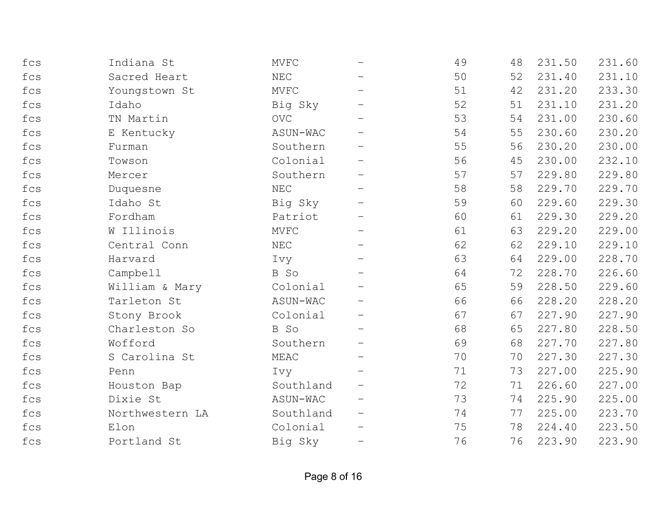| fcs          | Indiana St      | MVFC                 |                          | 49 | 48 | 231.50 | 231.60 |
|--------------|-----------------|----------------------|--------------------------|----|----|--------|--------|
| fcs          | Sacred Heart    | NEC                  |                          | 50 | 52 | 231.40 | 231.10 |
| fcs          | Youngstown St   | <b>MVFC</b>          |                          | 51 | 42 | 231.20 | 233.30 |
| fcs          | Idaho           | Big Sky              |                          | 52 | 51 | 231.10 | 231.20 |
| fcs          | TN Martin       | <b>OVC</b>           |                          | 53 | 54 | 231.00 | 230.60 |
| fcs          | E Kentucky      | ASUN-WAC             |                          | 54 | 55 | 230.60 | 230.20 |
| fcs          | Furman          | Southern             |                          | 55 | 56 | 230.20 | 230.00 |
| fcs          | Towson          | Colonial             |                          | 56 | 45 | 230.00 | 232.10 |
| fcs          | Mercer          | Southern             |                          | 57 | 57 | 229.80 | 229.80 |
| fcs          | Duquesne        | $\operatorname{NEC}$ | $\overline{\phantom{m}}$ | 58 | 58 | 229.70 | 229.70 |
| fcs          | Idaho St        | Big Sky              |                          | 59 | 60 | 229.60 | 229.30 |
| fcs          | Fordham         | Patriot              |                          | 60 | 61 | 229.30 | 229.20 |
| fcs          | W Illinois      | <b>MVFC</b>          | $\qquad \qquad -$        | 61 | 63 | 229.20 | 229.00 |
| fcs          | Central Conn    | NEC                  |                          | 62 | 62 | 229.10 | 229.10 |
| fcs          | Harvard         | Ivy                  |                          | 63 | 64 | 229.00 | 228.70 |
| fcs          | Campbell        | B So                 |                          | 64 | 72 | 228.70 | 226.60 |
| fcs          | William & Mary  | Colonial             |                          | 65 | 59 | 228.50 | 229.60 |
| fcs          | Tarleton St     | ASUN-WAC             |                          | 66 | 66 | 228.20 | 228.20 |
| fcs          | Stony Brook     | Colonial             |                          | 67 | 67 | 227.90 | 227.90 |
| fcs          | Charleston So   | B So                 |                          | 68 | 65 | 227.80 | 228.50 |
| fcs          | Wofford         | Southern             |                          | 69 | 68 | 227.70 | 227.80 |
| fcs          | S Carolina St   | MEAC                 | $\overline{\phantom{m}}$ | 70 | 70 | 227.30 | 227.30 |
| fcs          | Penn            | Ivy                  |                          | 71 | 73 | 227.00 | 225.90 |
| fcs          | Houston Bap     | Southland            |                          | 72 | 71 | 226.60 | 227.00 |
| fcs          | Dixie St        | ASUN-WAC             |                          | 73 | 74 | 225.90 | 225.00 |
| fcs          | Northwestern LA | Southland            |                          | 74 | 77 | 225.00 | 223.70 |
| fcs          | Elon            | Colonial             |                          | 75 | 78 | 224.40 | 223.50 |
| $_{\rm fcs}$ | Portland St     | Big Sky              | -                        | 76 | 76 | 223.90 | 223.90 |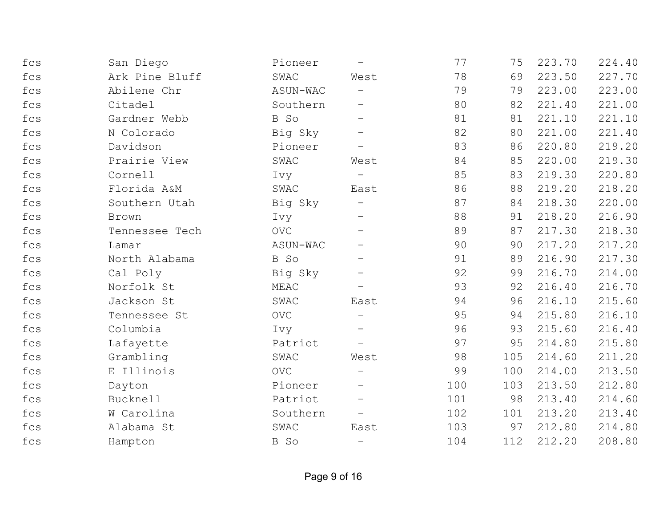| fcs                            | San Diego      | Pioneer    | $\overline{\phantom{m}}$ | 77  | 75  | 223.70 | 224.40 |
|--------------------------------|----------------|------------|--------------------------|-----|-----|--------|--------|
| fcs                            | Ark Pine Bluff | SWAC       | West                     | 78  | 69  | 223.50 | 227.70 |
| fcs                            | Abilene Chr    | ASUN-WAC   |                          | 79  | 79  | 223.00 | 223.00 |
| fcs                            | Citadel        | Southern   |                          | 80  | 82  | 221.40 | 221.00 |
| fcs                            | Gardner Webb   | B So       | $\overline{\phantom{m}}$ | 81  | 81  | 221.10 | 221.10 |
| fcs                            | N Colorado     | Big Sky    | $\qquad \qquad -$        | 82  | 80  | 221.00 | 221.40 |
| fcs                            | Davidson       | Pioneer    | $\overline{\phantom{m}}$ | 83  | 86  | 220.80 | 219.20 |
| fcs                            | Prairie View   | SWAC       | West                     | 84  | 85  | 220.00 | 219.30 |
| fcs                            | Cornell        | Ivy        | $\overline{\phantom{0}}$ | 85  | 83  | 219.30 | 220.80 |
| fcs                            | Florida A&M    | SWAC       | East                     | 86  | 88  | 219.20 | 218.20 |
| fcs                            | Southern Utah  | Big Sky    |                          | 87  | 84  | 218.30 | 220.00 |
| fcs                            | Brown          | Ivy        | $\overline{\phantom{m}}$ | 88  | 91  | 218.20 | 216.90 |
| $_{\mbox{\small\textsf{fcs}}}$ | Tennessee Tech | <b>OVC</b> |                          | 89  | 87  | 217.30 | 218.30 |
| fcs                            | Lamar          | ASUN-WAC   |                          | 90  | 90  | 217.20 | 217.20 |
| fcs                            | North Alabama  | B So       |                          | 91  | 89  | 216.90 | 217.30 |
| fcs                            | Cal Poly       | Big Sky    | -                        | 92  | 99  | 216.70 | 214.00 |
| fcs                            | Norfolk St     | MEAC       |                          | 93  | 92  | 216.40 | 216.70 |
| fcs                            | Jackson St     | SWAC       | East                     | 94  | 96  | 216.10 | 215.60 |
| fcs                            | Tennessee St   | <b>OVC</b> | $\overline{\phantom{m}}$ | 95  | 94  | 215.80 | 216.10 |
| fcs                            | Columbia       | Ivy        |                          | 96  | 93  | 215.60 | 216.40 |
| fcs                            | Lafayette      | Patriot    |                          | 97  | 95  | 214.80 | 215.80 |
| fcs                            | Grambling      | SWAC       | West                     | 98  | 105 | 214.60 | 211.20 |
| fcs                            | E Illinois     | <b>OVC</b> |                          | 99  | 100 | 214.00 | 213.50 |
| fcs                            | Dayton         | Pioneer    |                          | 100 | 103 | 213.50 | 212.80 |
| fcs                            | Bucknell       | Patriot    | —                        | 101 | 98  | 213.40 | 214.60 |
| fcs                            | W Carolina     | Southern   |                          | 102 | 101 | 213.20 | 213.40 |
| fcs                            | Alabama St     | SWAC       | East                     | 103 | 97  | 212.80 | 214.80 |
| fcs                            | Hampton        | B So       | $\overline{\phantom{m}}$ | 104 | 112 | 212.20 | 208.80 |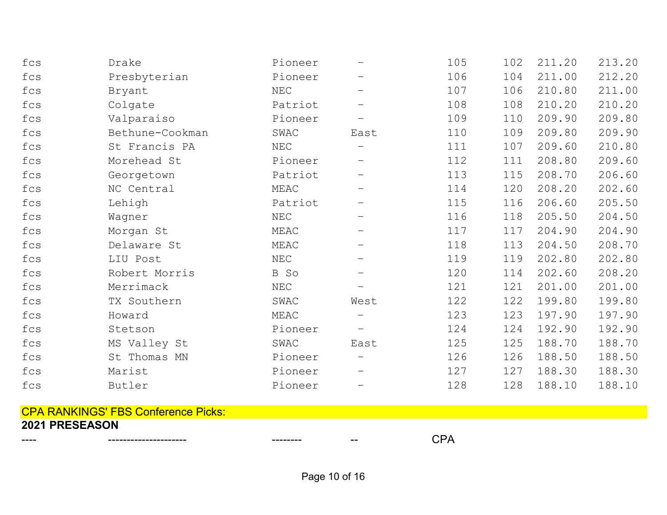| fcs | Drake           | Pioneer              |                          | 105 | 102 | 211.20 | 213.20 |
|-----|-----------------|----------------------|--------------------------|-----|-----|--------|--------|
| fcs | Presbyterian    | Pioneer              |                          | 106 | 104 | 211.00 | 212.20 |
| fcs | Bryant          | NEC                  |                          | 107 | 106 | 210.80 | 211.00 |
| fcs | Colgate         | Patriot              |                          | 108 | 108 | 210.20 | 210.20 |
| fcs | Valparaiso      | Pioneer              |                          | 109 | 110 | 209.90 | 209.80 |
| fcs | Bethune-Cookman | SWAC                 | East                     | 110 | 109 | 209.80 | 209.90 |
| fcs | St Francis PA   | NEC                  |                          | 111 | 107 | 209.60 | 210.80 |
| fcs | Morehead St     | Pioneer              |                          | 112 | 111 | 208.80 | 209.60 |
| fcs | Georgetown      | Patriot              | $\overline{\phantom{m}}$ | 113 | 115 | 208.70 | 206.60 |
| fcs | NC Central      | MEAC                 |                          | 114 | 120 | 208.20 | 202.60 |
| fcs | Lehigh          | Patriot              |                          | 115 | 116 | 206.60 | 205.50 |
| fcs | Wagner          | NEC                  |                          | 116 | 118 | 205.50 | 204.50 |
| fcs | Morgan St       | MEAC                 | —                        | 117 | 117 | 204.90 | 204.90 |
| fcs | Delaware St     | MEAC                 |                          | 118 | 113 | 204.50 | 208.70 |
| fcs | LIU Post        | $\operatorname{NEC}$ |                          | 119 | 119 | 202.80 | 202.80 |
| fcs | Robert Morris   | B So                 |                          | 120 | 114 | 202.60 | 208.20 |
| fcs | Merrimack       | NEC                  |                          | 121 | 121 | 201.00 | 201.00 |
| fcs | TX Southern     | SWAC                 | West                     | 122 | 122 | 199.80 | 199.80 |
| fcs | Howard          | MEAC                 |                          | 123 | 123 | 197.90 | 197.90 |
| fcs | Stetson         | Pioneer              |                          | 124 | 124 | 192.90 | 192.90 |
| fcs | MS Valley St    | SWAC                 | East                     | 125 | 125 | 188.70 | 188.70 |
| fcs | St Thomas MN    | Pioneer              |                          | 126 | 126 | 188.50 | 188.50 |
| fcs | Marist          | Pioneer              |                          | 127 | 127 | 188.30 | 188.30 |
| fcs | Butler          | Pioneer              |                          | 128 | 128 | 188.10 | 188.10 |

## CPA RANKINGS' FBS Conference Picks: 2021 PRESEASON

Page 10 of 16

---- --------------------- -------- -- CPA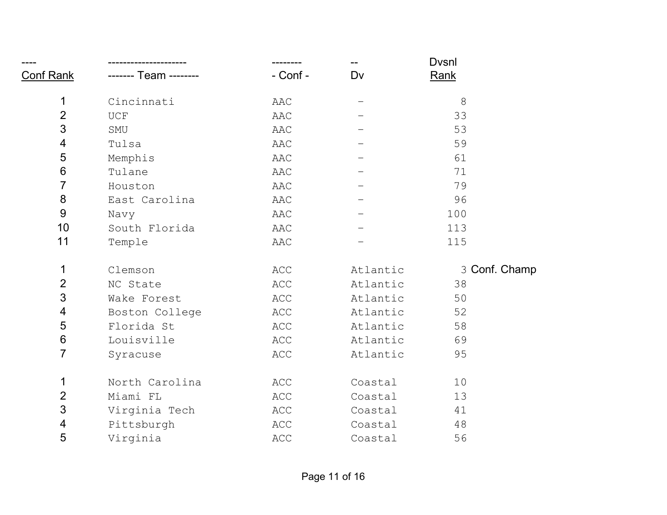|                  |                             |          |          | <b>Dvsnl</b>  |
|------------------|-----------------------------|----------|----------|---------------|
| <b>Conf Rank</b> | ------- Team --------       | - Conf - | Dv       | Rank          |
| 1                | Cincinnati                  | AAC      |          | 8             |
| $\overline{2}$   | $\ensuremath{\mathsf{UCF}}$ | AAC      |          | 33            |
| 3                | SMU                         | AAC      |          | 53            |
| $\overline{4}$   | Tulsa                       | AAC      |          | 59            |
| 5                | Memphis                     | AAC      |          | 61            |
| $\,6$            | Tulane                      | AAC      |          | 71            |
| $\overline{7}$   | Houston                     | AAC      |          | 79            |
| 8                | East Carolina               | AAC      |          | 96            |
| 9                | Navy                        | AAC      |          | 100           |
| 10               | South Florida               | AAC      |          | 113           |
| 11               | Temple                      | AAC      |          | 115           |
| 1                | Clemson                     | ACC      | Atlantic | 3 Conf. Champ |
| $\overline{2}$   | NC State                    | ACC      | Atlantic | 38            |
| 3                | Wake Forest                 | ACC      | Atlantic | 50            |
| 4                | Boston College              | ACC      | Atlantic | 52            |
| 5                | Florida St                  | ACC      | Atlantic | 58            |
| $\,6\,$          | Louisville                  | ACC      | Atlantic | 69            |
| $\overline{7}$   | Syracuse                    | ACC      | Atlantic | 95            |
| 1                | North Carolina              | ACC      | Coastal  | 10            |
| $\overline{2}$   | Miami FL                    | ACC      | Coastal  | 13            |
| 3                | Virginia Tech               | ACC      | Coastal  | 41            |
| 4                | Pittsburgh                  | ACC      | Coastal  | 48            |
| 5                | Virginia                    | ACC      | Coastal  | 56            |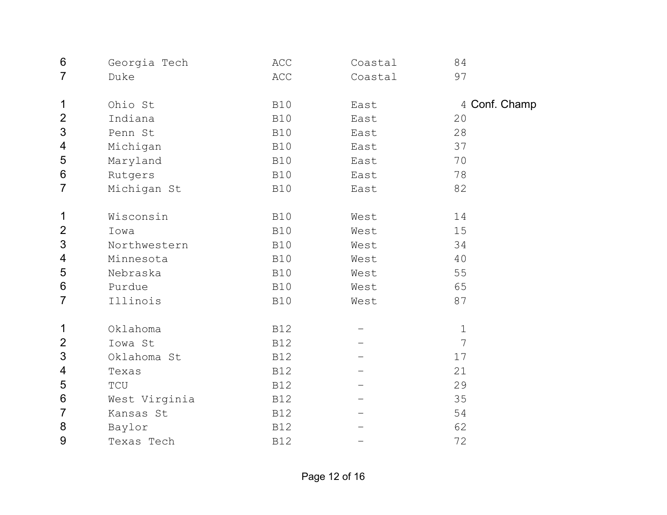| 6                        | Georgia Tech                  | ACC        | Coastal | 84            |
|--------------------------|-------------------------------|------------|---------|---------------|
| $\overline{7}$           | Duke                          | ACC        | Coastal | 97            |
|                          |                               |            |         |               |
| 1                        | Ohio St                       | <b>B10</b> | East    | 4 Conf. Champ |
| $\overline{2}$           | Indiana                       | <b>B10</b> | East    | 20            |
| 3                        | Penn St                       | <b>B10</b> | East    | 28            |
| 4                        | Michigan                      | <b>B10</b> | East    | 37            |
| 5                        | Maryland                      | <b>B10</b> | East    | 70            |
| $6\,$                    | Rutgers                       | <b>B10</b> | East    | 78            |
| $\overline{7}$           | Michigan St                   | <b>B10</b> | East    | 82            |
| $\mathbf 1$              | Wisconsin                     | <b>B10</b> | West    | 14            |
| $\overline{2}$           | Iowa                          | <b>B10</b> | West    | 15            |
| 3                        | Northwestern                  | <b>B10</b> | West    | 34            |
| $\overline{\mathcal{A}}$ | Minnesota                     | <b>B10</b> | West    | 40            |
| 5                        | Nebraska                      | <b>B10</b> | West    | 55            |
| $6\,$                    | Purdue                        | <b>B10</b> | West    | 65            |
| $\overline{7}$           | Illinois                      | <b>B10</b> | West    | 87            |
|                          |                               |            |         |               |
| 1                        | Oklahoma                      | <b>B12</b> |         | $\mathbf 1$   |
| $\overline{2}$           | Iowa St                       | <b>B12</b> |         | 7             |
| 3                        | Oklahoma St                   | <b>B12</b> |         | 17            |
| 4                        | Texas                         | <b>B12</b> |         | 21            |
| 5                        | $\operatorname{\mathsf{TCU}}$ | <b>B12</b> |         | 29            |
| $6\,$                    | West Virginia                 | <b>B12</b> |         | 35            |
| $\overline{7}$           | Kansas St                     | <b>B12</b> |         | 54            |
| 8                        | Baylor                        | <b>B12</b> |         | 62            |
| 9                        | Texas Tech                    | <b>B12</b> |         | 72            |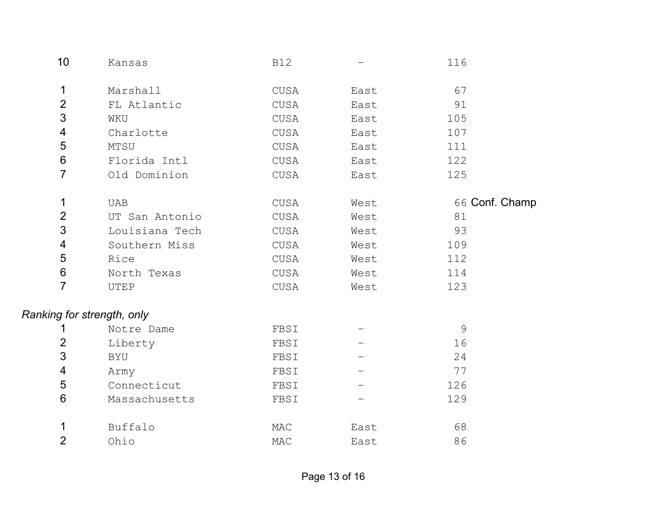| 10                         | Kansas         | <b>B12</b> |      | 116            |
|----------------------------|----------------|------------|------|----------------|
| $\mathbf 1$                | Marshall       | CUSA       | East | 67             |
| $\overline{2}$             | FL Atlantic    | CUSA       | East | 91             |
| 3                          | WKU            | CUSA       | East | 105            |
| 4                          | Charlotte      | CUSA       | East | 107            |
| $\sqrt{5}$                 | MTSU           | CUSA       | East | 111            |
| $6\,$                      | Florida Intl   | CUSA       | East | 122            |
| $\overline{7}$             | Old Dominion   | CUSA       | East | 125            |
| $\mathbf{1}$               | UAB            | CUSA       | West | 66 Conf. Champ |
| $\overline{2}$             | UT San Antonio | CUSA       | West | 81             |
| 3                          | Louisiana Tech | CUSA       | West | 93             |
| $\overline{\mathcal{A}}$   | Southern Miss  | CUSA       | West | 109            |
| 5                          | Rice           | CUSA       | West | 112            |
| $\,6\,$                    | North Texas    | CUSA       | West | 114            |
| $\overline{7}$             | UTEP           | CUSA       | West | 123            |
| Ranking for strength, only |                |            |      |                |
| 1                          | Notre Dame     | FBSI       |      | $\mathcal{G}$  |
| $\overline{2}$             | Liberty        | FBSI       |      | 16             |
| 3                          | BYU            | FBSI       |      | 24             |
| 4                          | Army           | FBSI       |      | 77             |
| 5                          | Connecticut    | FBSI       |      | 126            |
| $6\,$                      | Massachusetts  | FBSI       |      | 129            |
| 1                          | Buffalo        | MAC        | East | 68             |
| $\overline{2}$             | Ohio           | MAC        | East | 86             |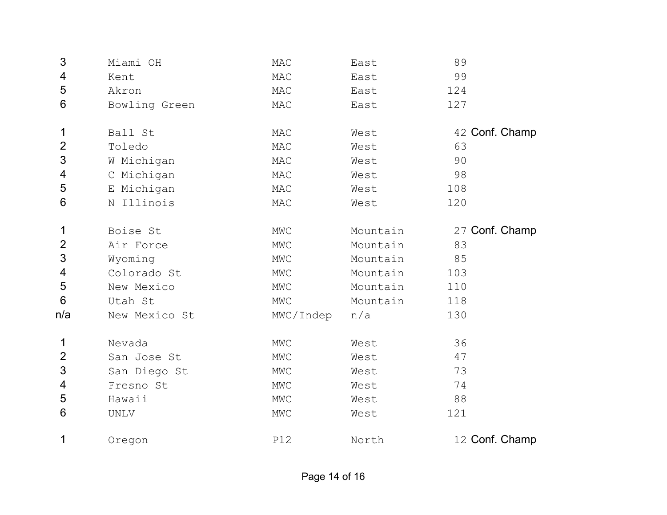| 3              | Miami OH      | MAC       | East     | 89             |
|----------------|---------------|-----------|----------|----------------|
| 4              | Kent          | MAC       | East     | 99             |
| 5              | Akron         | MAC       | East     | 124            |
| 6              | Bowling Green | MAC       | East     | 127            |
| 1              | Ball St       | MAC       | West     | 42 Conf. Champ |
| $\overline{2}$ | Toledo        | MAC       | West     | 63             |
| 3              | W Michigan    | MAC       | West     | 90             |
| 4              | C Michigan    | MAC       | West     | 98             |
| 5              | E Michigan    | MAC       | West     | 108            |
| 6              | N Illinois    | MAC       | West     | 120            |
| 1              | Boise St      | MWC       | Mountain | 27 Conf. Champ |
| $\overline{2}$ | Air Force     | MWC       | Mountain | 83             |
| 3              | Wyoming       | MWC       | Mountain | 85             |
| 4              | Colorado St   | MWC       | Mountain | 103            |
| 5              | New Mexico    | MWC       | Mountain | 110            |
| 6              | Utah St       | MWC       | Mountain | 118            |
| n/a            | New Mexico St | MWC/Indep | n/a      | 130            |
| $\mathbf 1$    | Nevada        | MWC       | West     | 36             |
| $\overline{2}$ | San Jose St   | MWC       | West     | 47             |
| 3              | San Diego St  | MWC       | West     | 73             |
| 4              | Fresno St     | MWC       | West     | 74             |
| 5              | Hawaii        | MWC       | West     | 88             |
| 6              | UNLV          | MWC       | West     | 121            |
| 1              | Oregon        | P12       | North    | 12 Conf. Champ |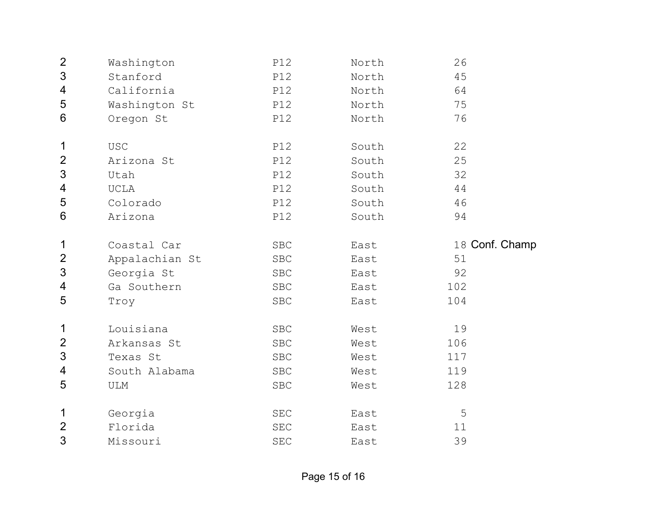| $\mathbf{2}$             | Washington     | <b>P12</b>           | North | 26             |
|--------------------------|----------------|----------------------|-------|----------------|
| $\mathfrak{S}$           | Stanford       | P12                  | North | 45             |
| 4                        | California     | P12                  | North | 64             |
| 5                        | Washington St  | P12                  | North | 75             |
| $6\,$                    | Oregon St      | P12                  | North | 76             |
| $\mathbf 1$              | <b>USC</b>     | P12                  | South | 22             |
| $\overline{2}$           | Arizona St     | <b>P12</b>           | South | 25             |
| $\mathfrak{S}$           | Utah           | P12                  | South | 32             |
| 4                        | UCLA           | P12                  | South | 44             |
| 5                        | Colorado       | P12                  | South | 46             |
| $\,6$                    | Arizona        | P12                  | South | 94             |
| 1                        | Coastal Car    | <b>SBC</b>           | East  | 18 Conf. Champ |
|                          |                |                      |       |                |
| $\overline{2}$           | Appalachian St | <b>SBC</b>           | East  | 51             |
| $\mathfrak{S}$           | Georgia St     | <b>SBC</b>           | East  | 92             |
| $\overline{\mathcal{A}}$ | Ga Southern    | <b>SBC</b>           | East  | 102            |
| 5                        | Troy           | <b>SBC</b>           | East  | 104            |
| 1                        | Louisiana      | <b>SBC</b>           | West  | 19             |
| $\overline{2}$           | Arkansas St    | <b>SBC</b>           | West  | 106            |
| 3                        | Texas St       | <b>SBC</b>           | West  | 117            |
| $\overline{4}$           | South Alabama  | ${\tt SBC}$          | West  | 119            |
| 5                        | ULM            | <b>SBC</b>           | West  | 128            |
| 1                        | Georgia        | SEC                  | East  | 5              |
| $\overline{2}$           | Florida        | $\operatorname{SEC}$ | East  | 11             |